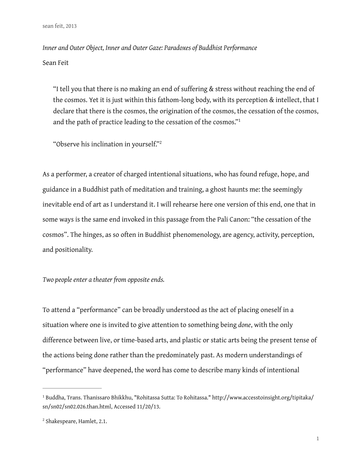*Inner and Outer Object, Inner and Outer Gaze: Paradoxes of Buddhist Performance* Sean Feit

"I tell you that there is no making an end of sufering & stress without reaching the end of the cosmos. Yet it is just within this fathom-long body, with its perception & intellect, that I declare that there is the cosmos, the origination of the cosmos, the cessation of the cosmos, and the path of practice leading to the cessation of the cosmos."<sup>1</sup>

"Observe his inclination in yourself."<sup>2</sup>

As a performer, a creator of charged intentional situations, who has found refuge, hope, and guidance in a Buddhist path of meditation and training, a ghost haunts me: the seemingly inevitable end of art as I understand it. I will rehearse here one version of this end, one that in some ways is the same end invoked in this passage from the Pali Canon: "the cessation of the cosmos". The hinges, as so often in Buddhist phenomenology, are agency, activity, perception, and positionality.

## *Two people enter a theater from opposite ends.*

To attend a "performance" can be broadly understood as the act of placing oneself in a situation where one is invited to give attention to something being *done*, with the only diference between live, or time-based arts, and plastic or static arts being the present tense of the actions being done rather than the predominately past. As modern understandings of "performance" have deepened, the word has come to describe many kinds of intentional

<sup>&</sup>lt;sup>1</sup> Buddha, Trans. Thanissaro Bhikkhu, "Rohitassa Sutta: To Rohitassa." http://www.accesstoinsight.org/tipitaka/ sn/sn02/sn02.026.than.html, Accessed 11/20/13.

 $2$  Shakespeare, Hamlet, 2.1.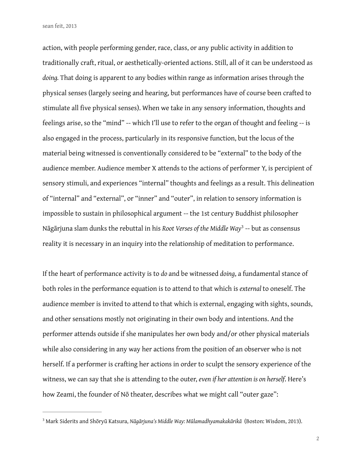sean feit, 2013

action, with people performing gender, race, class, or any public activity in addition to traditionally craft, ritual, or aesthetically-oriented actions. Still, all of it can be understood as *doing.* That doing is apparent to any bodies within range as information arises through the physical senses (largely seeing and hearing, but performances have of course been crafted to stimulate all five physical senses). When we take in any sensory information, thoughts and feelings arise, so the "mind" -- which I'll use to refer to the organ of thought and feeling -- is also engaged in the process, particularly in its responsive function, but the locus of the material being witnessed is conventionally considered to be "external" to the body of the audience member. Audience member X attends to the actions of performer Y, is percipient of sensory stimuli, and experiences "internal" thoughts and feelings as a result. This delineation of "internal" and "external", or "inner" and "outer", in relation to sensory information is impossible to sustain in philosophical argument -- the 1st century Buddhist philosopher Nāgārjuna slam dunks the rebuttal in his *Root Verses of the Middle Way* -- but as consensus 3 reality it is necessary in an inquiry into the relationship of meditation to performance.

If the heart of performance activity is to *do* and be witnessed *doing*, a fundamental stance of both roles in the performance equation is to attend to that which is *external* to oneself. The audience member is invited to attend to that which is external, engaging with sights, sounds, and other sensations mostly not originating in their own body and intentions. And the performer attends outside if she manipulates her own body and/or other physical materials while also considering in any way her actions from the position of an observer who is not herself. If a performer is crafting her actions in order to sculpt the sensory experience of the witness, we can say that she is attending to the outer, *even if her attention is on herself*. Here's how Zeami, the founder of Nō theater, describes what we might call "outer gaze":

Mark Siderits and Shōryū Katsura, *Nāgārjuna's Middle Way: Mūlamadhyamakakārikā* (Boston: Wisdom, 2013). <sup>3</sup>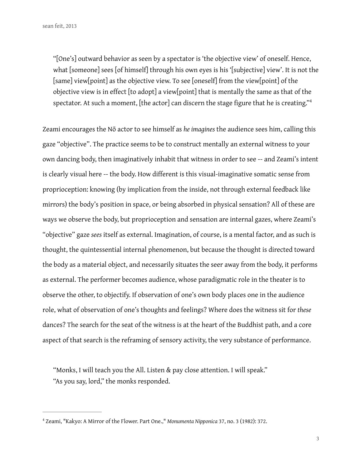"[One's] outward behavior as seen by a spectator is 'the objective view' of oneself. Hence, what [someone] sees [of himself] through his own eyes is his '[subjective] view'. It is not the [same] view[point] as the objective view. To see [oneself] from the view[point] of the objective view is in efect [to adopt] a view[point] that is mentally the same as that of the spectator. At such a moment, [the actor] can discern the stage figure that he is creating." $4$ 

Zeami encourages the Nō actor to see himself as *he imagines* the audience sees him, calling this gaze "objective". The practice seems to be to construct mentally an external witness to your own dancing body, then imaginatively inhabit that witness in order to see -- and Zeami's intent is clearly visual here -- the body. How diferent is this visual-imaginative somatic sense from proprioception: knowing (by implication from the inside, not through external feedback like mirrors) the body's position in space, or being absorbed in physical sensation? All of these are ways we observe the body, but proprioception and sensation are internal gazes, where Zeami's "objective" gaze *sees* itself as external. Imagination, of course, is a mental factor, and as such is thought, the quintessential internal phenomenon, but because the thought is directed toward the body as a material object, and necessarily situates the seer away from the body, it performs as external. The performer becomes audience, whose paradigmatic role in the theater is to observe the other, to objectify. If observation of one's own body places one in the audience role, what of observation of one's thoughts and feelings? Where does the witness sit for *these* dances? The search for the seat of the witness is at the heart of the Buddhist path, and a core aspect of that search is the reframing of sensory activity, the very substance of performance.

"Monks, I will teach you the All. Listen & pay close attention. I will speak." "As you say, lord," the monks responded.

Zeami, "Kakyo: A Mirror of the Flower. Part One.," *Monumenta Nipponica* 37, no. 3 (1982): 372. <sup>4</sup>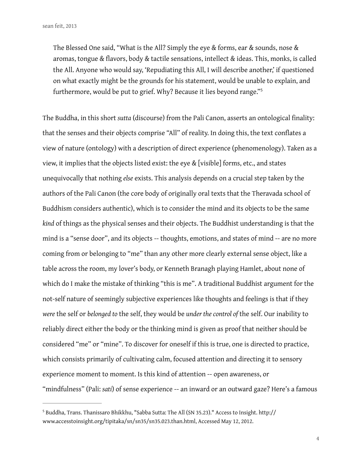The Blessed One said, "What is the All? Simply the eye & forms, ear & sounds, nose & aromas, tongue & flavors, body & tactile sensations, intellect & ideas. This, monks, is called the All. Anyone who would say, 'Repudiating this All, I will describe another,' if questioned on what exactly might be the grounds for his statement, would be unable to explain, and furthermore, would be put to grief. Why? Because it lies beyond range."<sup>5</sup>

The Buddha, in this short *sutta* (discourse) from the Pali Canon, asserts an ontological finality: that the senses and their objects comprise "All" of reality. In doing this, the text confates a view of nature (ontology) with a description of direct experience (phenomenology). Taken as a view, it implies that the objects listed exist: the eye & [visible] forms, etc., and states unequivocally that nothing *else* exists. This analysis depends on a crucial step taken by the authors of the Pali Canon (the core body of originally oral texts that the Theravada school of Buddhism considers authentic), which is to consider the mind and its objects to be the same *kind* of things as the physical senses and their objects. The Buddhist understanding is that the mind is a "sense door", and its objects -- thoughts, emotions, and states of mind -- are no more coming from or belonging to "me" than any other more clearly external sense object, like a table across the room, my lover's body, or Kenneth Branagh playing Hamlet, about none of which do I make the mistake of thinking "this is me". A traditional Buddhist argument for the not-self nature of seemingly subjective experiences like thoughts and feelings is that if they *were* the self or *belonged to* the self, they would be *under the control of* the self. Our inability to reliably direct either the body or the thinking mind is given as proof that neither should be considered "me" or "mine". To discover for oneself if this is true, one is directed to practice, which consists primarily of cultivating calm, focused attention and directing it to sensory experience moment to moment. Is this kind of attention -- open awareness, or "mindfulness" (Pali: *sati*) of sense experience -- an inward or an outward gaze? Here's a famous

 $5$  Buddha, Trans. Thanissaro Bhikkhu, "Sabba Sutta: The All (SN 35.23)." Access to Insight. http:// www.accesstoinsight.org/tipitaka/sn/sn35/sn35.023.than.html, Accessed May 12, 2012.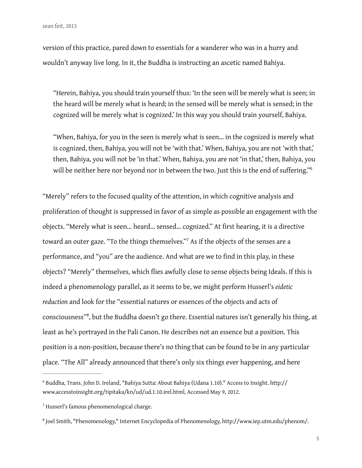version of this practice, pared down to essentials for a wanderer who was in a hurry and wouldn't anyway live long. In it, the Buddha is instructing an ascetic named Bahiya.

"Herein, Bahiya, you should train yourself thus: 'In the seen will be merely what is seen; in the heard will be merely what is heard; in the sensed will be merely what is sensed; in the cognized will be merely what is cognized.' In this way you should train yourself, Bahiya.

"When, Bahiya, for you in the seen is merely what is seen... in the cognized is merely what is cognized, then, Bahiya, you will not be 'with that.' When, Bahiya, you are not 'with that,' then, Bahiya, you will not be 'in that.' When, Bahiya, you are not 'in that,' then, Bahiya, you will be neither here nor beyond nor in between the two. Just this is the end of suffering."<sup>6</sup>

"Merely" refers to the focused quality of the attention, in which cognitive analysis and proliferation of thought is suppressed in favor of as simple as possible an engagement with the objects. "Merely what is seen... heard... sensed... cognized." At first hearing, it is a directive toward an outer gaze. "To the things themselves."<sup>7</sup> As if the objects of the senses are a performance, and "you" are the audience. And what are we to fnd in this play, in these objects? "Merely" themselves, which fies awfully close to sense objects being Ideals. If this is indeed a phenomenology parallel, as it seems to be, we might perform Husserl's *eidetic reduction* and look for the "essential natures or essences of the objects and acts of consciousness"<sup>8</sup>, but the Buddha doesn't go there. Essential natures isn't generally his thing, at least as he's portrayed in the Pali Canon. He describes not an essence but a position. This position is a non-position, because there's no thing that can be found to be in any particular place. "The All" already announced that there's only six things ever happening, and here

<sup>&</sup>lt;sup>6</sup> Buddha, Trans. John D. Ireland, "Bahiya Sutta: About Bahiya (Udana 1.10)." Access to Insight. http:// www.accesstoinsight.org/tipitaka/kn/ud/ud.1.10.irel.html, Accessed May 9, 2012.

<sup>&</sup>lt;sup>7</sup> Husserl's famous phenomenological charge.

<sup>&</sup>lt;sup>8</sup> Joel Smith, "Phenomenology," Internet Encyclopedia of Phenomenology, http://www.iep.utm.edu/phenom/.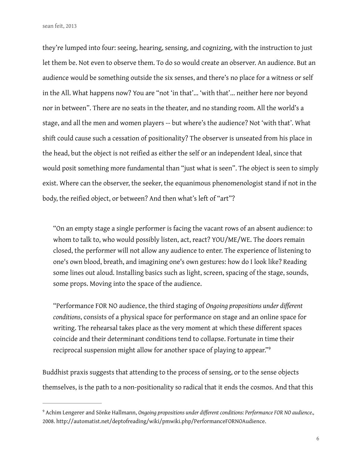sean feit, 2013

they're lumped into four: seeing, hearing, sensing, and cognizing, with the instruction to just let them be. Not even to observe them. To do so would create an observer. An audience. But an audience would be something outside the six senses, and there's no place for a witness or self in the All. What happens now? You are "not 'in that'... 'with that'... neither here nor beyond nor in between". There are no seats in the theater, and no standing room. All the world's a stage, and all the men and women players -- but where's the audience? Not 'with that'. What shift could cause such a cessation of positionality? The observer is unseated from his place in the head, but the object is not reifed as either the self or an independent Ideal, since that would posit something more fundamental than "just what is seen". The object is seen to simply exist. Where can the observer, the seeker, the equanimous phenomenologist stand if not in the body, the reifed object, or between? And then what's left of "art"?

"On an empty stage a single performer is facing the vacant rows of an absent audience: to whom to talk to, who would possibly listen, act, react? YOU/ME/WE. The doors remain closed, the performer will not allow any audience to enter. The experience of listening to one's own blood, breath, and imagining one's own gestures: how do I look like? Reading some lines out aloud. Installing basics such as light, screen, spacing of the stage, sounds, some props. Moving into the space of the audience.

"Performance FOR NO audience, the third staging of *Ongoing propositions under diferent conditions*, consists of a physical space for performance on stage and an online space for writing. The rehearsal takes place as the very moment at which these diferent spaces coincide and their determinant conditions tend to collapse. Fortunate in time their reciprocal suspension might allow for another space of playing to appear."<sup>9</sup>

Buddhist praxis suggests that attending to the process of sensing, or to the sense objects themselves, is the path to a non-positionality so radical that it ends the cosmos. And that this

Achim Lengerer and Sönke Hallmann, *Ongoing propositions under diferent conditions: Performance FOR NO audience.,* <sup>9</sup> 2008. http://automatist.net/deptofreading/wiki/pmwiki.php/PerformanceFORNOAudience.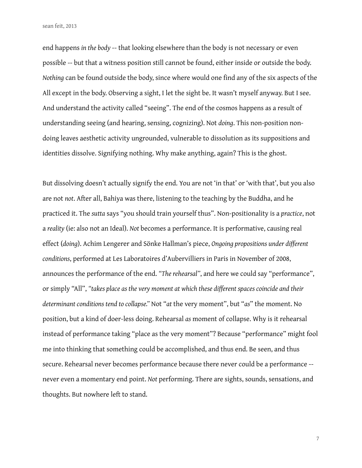end happens *in the body* -- that looking elsewhere than the body is not necessary or even possible -- but that a witness position still cannot be found, either inside or outside the body. *Nothing* can be found outside the body, since where would one find any of the six aspects of the All except in the body. Observing a sight, I let the sight be. It wasn't myself anyway. But I see. And understand the activity called "seeing". The end of the cosmos happens as a result of understanding seeing (and hearing, sensing, cognizing). Not *doing*. This non-position nondoing leaves aesthetic activity ungrounded, vulnerable to dissolution as its suppositions and identities dissolve. Signifying nothing. Why make anything, again? This is the ghost.

But dissolving doesn't actually signify the end. You are not 'in that' or 'with that', but you also are not *not*. After all, Bahiya was there, listening to the teaching by the Buddha, and he practiced it. The *sutta* says "you should train yourself thus". Non-positionality is a *practice*, not a *reality* (ie: also not an Ideal). *Not* becomes a performance. It is performative, causing real efect (*doing*). Achim Lengerer and Sönke Hallman's piece, *Ongoing propositions under diferent conditions*, performed at Les Laboratoires d'Aubervilliers in Paris in November of 2008, announces the performance of the end. *"The rehearsal"*, and here we could say "performance", or simply "All", *"takes place as the very moment at which these diferent spaces coincide and their determinant conditions tend to collapse."* Not "*at* the very moment", but "*as*" the moment. No position, but a kind of doer-less doing. Rehearsal *as* moment of collapse. Why is it rehearsal instead of performance taking "place as the very moment"? Because "performance" might fool me into thinking that something could be accomplished, and thus end. Be seen, and thus secure. Rehearsal never becomes performance because there never could be a performance - never even a momentary end point. *Not* performing. There are sights, sounds, sensations, and thoughts. But nowhere left to stand.

7